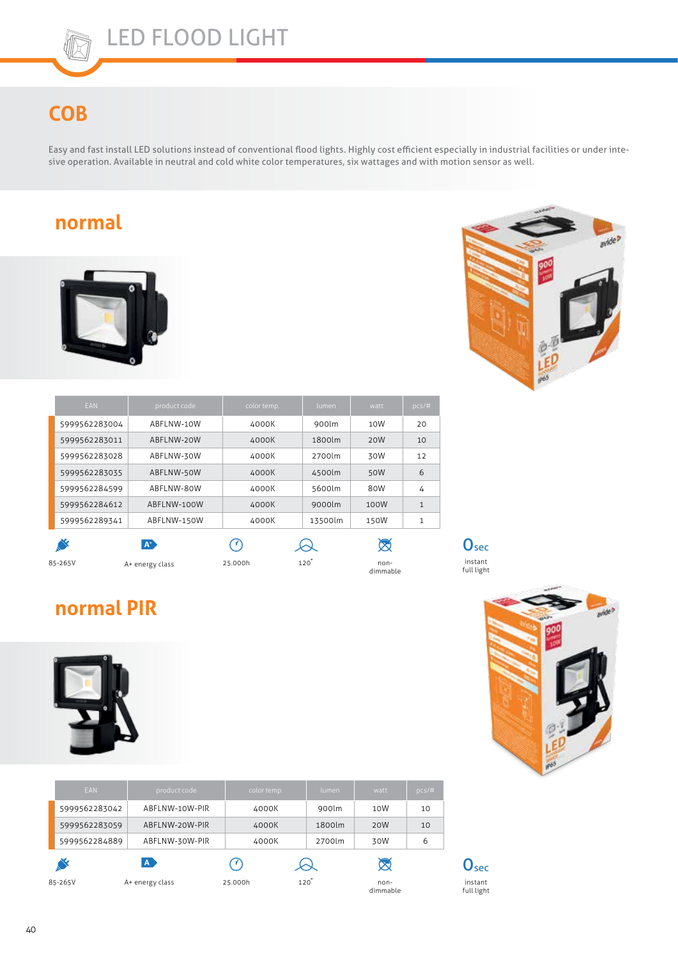## **COB**

Easy and fast install LED solutions instead of conventional flood lights. Highly cost efficient especially in industrial facilities or under intesive operation. Available in neutral and cold white color temperatures, six wattages and with motion sensor as well.

#### **normal**





| <b>EAN</b>    | product code | color temp. | lumen   | watt            | pcs/#        |
|---------------|--------------|-------------|---------|-----------------|--------------|
| 5999562283004 | ABFLNW-10W   | 4000K       | 900lm   | 10 <sub>W</sub> | 20           |
| 5999562283011 | ABFLNW-20W   | 4000K       | 1800lm  | 20 <sub>W</sub> | 10           |
| 5999562283028 | ABFLNW-30W   | 4000K       | 2700lm  | 30W             | 12           |
| 5999562283035 | ABFLNW-50W   | 4000K       | 4500lm  | 50W             | 6            |
| 5999562284599 | ABFLNW-80W   | 4000K       | 5600lm  | 80W             | 4            |
| 5999562284612 | ABFLNW-100W  | 4000K       | 9000lm  | 100W            | $\mathbf{1}$ |
| 5999562289341 | ABFLNW-150W  | 4000K       | 13500lm | 150W            | 1            |
|               | $A^+$        |             |         |                 |              |

 $\odot$  $A^+$ A+ energy class non-85-265V 25.000h 120�

 $\otimes$ non-<br>dimmable

**Osec** instant full light

**Osec** instant full light

#### **normal PIR**



| EAN           | product code    | color temp.            | lumen  | watt             | $pcs/\#$ |
|---------------|-----------------|------------------------|--------|------------------|----------|
| 5999562283042 | ABFLNW-10W-PIR  | 4000K                  | 900lm  | 10W              | 10       |
| 5999562283059 | ABFLNW-20W-PIR  | 4000K                  | 1800lm | 20W              | 10       |
| 5999562284889 | ABFLNW-30W-PIR  | 4000K                  | 2700lm | 30W              | 6        |
| $\mathcal{S}$ | A               |                        |        |                  |          |
| 85-265V       | A+ energy class | $120^\circ$<br>25.000h |        | non-<br>dimmable |          |

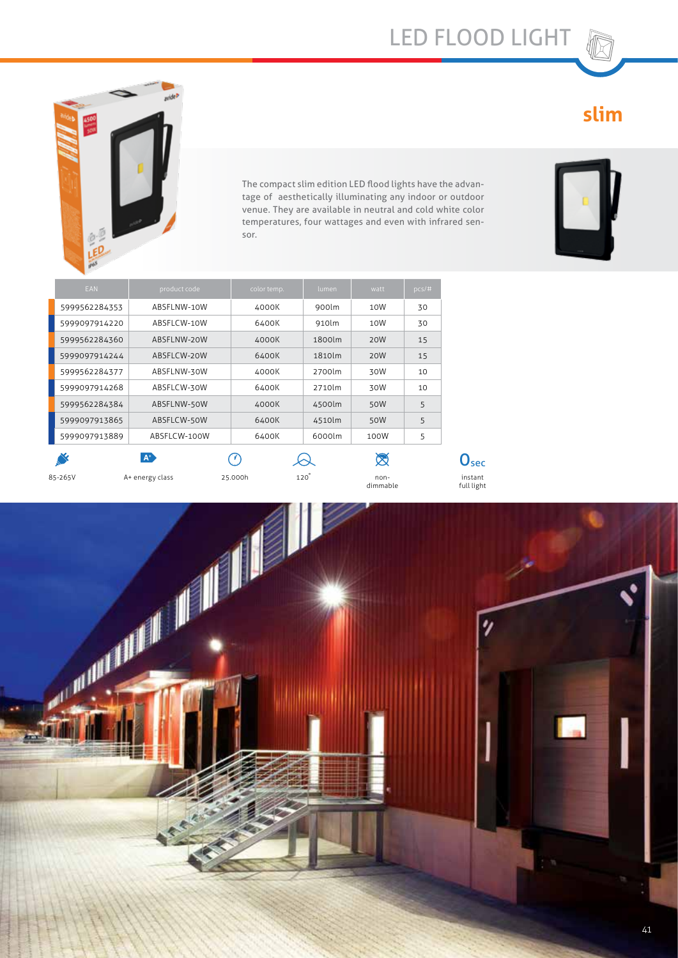# LED FLOOD LIGHT

**Osec** 





The compact slim edition LED flood lights have the advantage of aesthetically illuminating any indoor or outdoor venue. They are available in neutral and cold white color temperatures, four wattages and even with infrared sensor.



| <b>EAN</b>    | product code    | color temp. | lumen       | watt               | $pcs/\#$ |
|---------------|-----------------|-------------|-------------|--------------------|----------|
| 5999562284353 | ABSFLNW-10W     | 4000K       | 900lm       | 10W                | 30       |
| 5999097914220 | ABSFLCW-10W     | 6400K       | 910lm       | 10W                | 30       |
| 5999562284360 | ABSFLNW-20W     | 4000K       | 1800lm      | 20W                | 15       |
| 5999097914244 | ABSFLCW-20W     | 6400K       | 1810lm      | 20W                | 15       |
| 5999562284377 | ABSFLNW-30W     | 4000K       | 2700lm      | 30W                | 10       |
| 5999097914268 | ABSFLCW-30W     | 6400K       | 2710lm      | 30W                | 10       |
| 5999562284384 | ABSFLNW-50W     | 4000K       | 4500lm      | 50W                | 5        |
| 5999097913865 | ABSFLCW-50W     | 6400K       | 4510lm      | 50W                | 5        |
| 5999097913889 | ABSELCW-100W    | 6400K       | 6000lm      | 100W               | 5        |
|               | $A^+$           |             |             |                    |          |
| 85-265V       | A+ energy class | 25.000h     | $120^\circ$ | $non-$<br>dimmable |          |

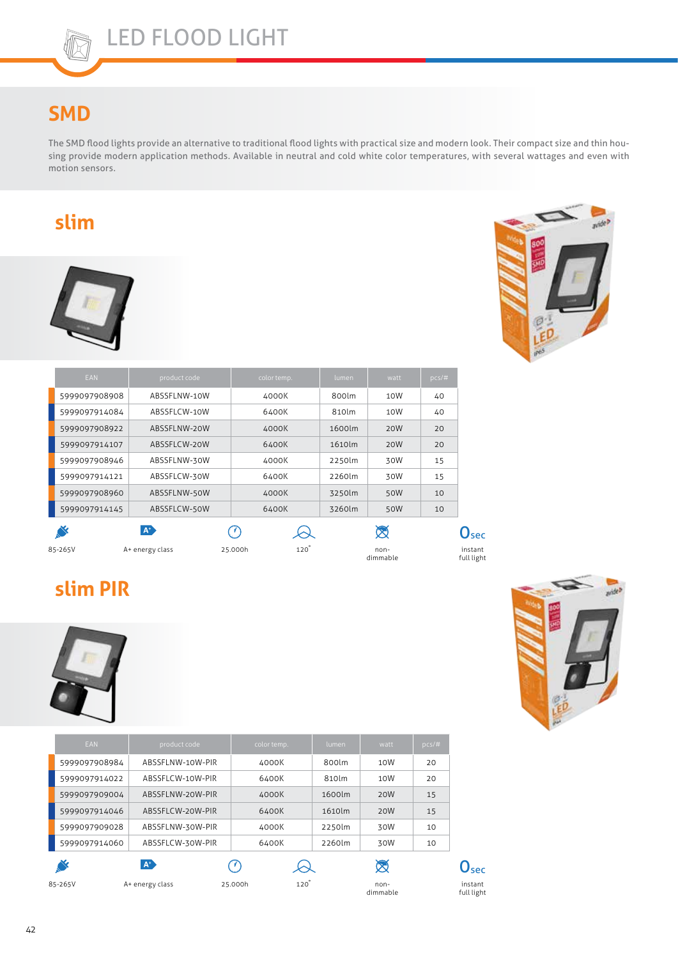### **SMD**

The SMD flood lights provide an alternative to traditional flood lights with practical size and modern look. Their compact size and thin housing provide modern application methods. Available in neutral and cold white color temperatures, with several wattages and even with motion sensors.

# **slim**





| <b>EAN</b>    | product code | color temp. | lumen  | watt | $pcs/\#$ |
|---------------|--------------|-------------|--------|------|----------|
| 5999097908908 | ABSSFLNW-10W | 4000K       | 800lm  | 10W  | 40       |
| 5999097914084 | ABSSELCW-10W | 6400K       | 810lm  | 10W  | 40       |
| 5999097908922 | ABSSFLNW-20W | 4000K       | 1600lm | 20W  | 20       |
| 5999097914107 | ABSSFLCW-20W | 6400K       | 1610lm | 20W  | 20       |
| 5999097908946 | ABSSFLNW-30W | 4000K       | 2250lm | 30W  | 15       |
| 5999097914121 | ABSSFLCW-30W | 6400K       | 2260lm | 30W  | 15       |
| 5999097908960 | ABSSFLNW-50W | 4000K       | 3250lm | 50W  | 10       |
| 5999097914145 | ABSSFLCW-50W | 6400K       | 3260lm | 50W  | 10       |
|               | $A^*$        |             |        |      |          |

|         |                 |         | $\sim$ | ᄾ                |
|---------|-----------------|---------|--------|------------------|
| 85-265V | A+ energy class | 25.000h | 120    | non-<br>dimmable |

## **slim PIR**



| <b>EAN</b>    | product code     | color temp.                | lumen           | watt             | pcs/# |
|---------------|------------------|----------------------------|-----------------|------------------|-------|
| 5999097908984 | ABSSFLNW-10W-PIR | 4000K                      | 800lm           | 10W              | 20    |
| 5999097914022 | ABSSFLCW-10W-PIR | 6400K                      | 810lm           | 10W              | 20    |
| 5999097909004 | ABSSFLNW-20W-PIR | 4000K                      | $1600 \text{m}$ | 20W              | 15    |
| 5999097914046 | ABSSFLCW-20W-PIR | 6400K                      | 1610lm          | 20W              | 15    |
| 5999097909028 | ABSSFLNW-30W-PIR | 4000K                      | 2250lm          | 30W              | 10    |
| 5999097914060 | ABSSFLCW-30W-PIR | 6400K                      | 2260lm          | 30W              | 10    |
| S             | $A^+$            |                            |                 | 对                |       |
| 85-265V       | A+ energy class  | $120^{\degree}$<br>25.000h |                 | non-<br>dimmable |       |



instant full light

 $0<sub>sec</sub>$ 

instant full light